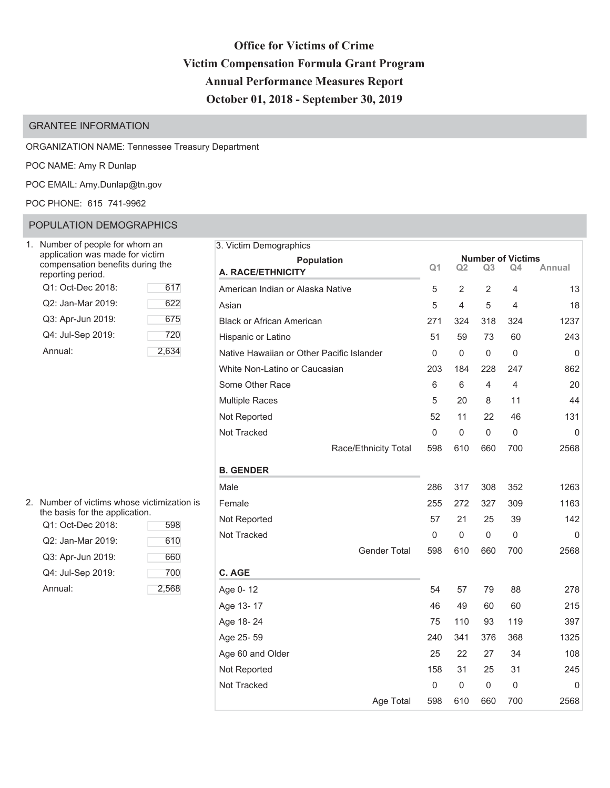# **2IIIILG Office for Victims of Crime Victim Compensation Formula Grant Program Annual Performance Measures Report** October 01, 2018 - September 30, 2019

### GRANTEE INFORMATION

#### ORGANIZATION NAME: Tennessee Treasury Department

POC NAME: Amy R Dunlap

POC EMAIL: Amy.Dunlap@tn.gov

#### ( ) POC PHONE: 615 741-9962

### POPULATION DEMOGRAPHICS

| Number of people for whom an<br>application was made for victim<br>compensation benefits during the<br>reporting period. |     |
|--------------------------------------------------------------------------------------------------------------------------|-----|
| Q1: Oct-Dec 2018:                                                                                                        | 617 |
| Q2: Jan-Mar 2019:                                                                                                        | 622 |
| Q3: Apr-Jun 2019:                                                                                                        | 675 |
| Q4: Jul-Sep 2019:                                                                                                        | 720 |
| Annual:                                                                                                                  | 2,6 |

| 2. | Number of victims whose victimization is<br>the basis for the application. |       |  |  |  |  |  |  |  |  |  |
|----|----------------------------------------------------------------------------|-------|--|--|--|--|--|--|--|--|--|
|    | Q1: Oct-Dec 2018:                                                          | 598   |  |  |  |  |  |  |  |  |  |
|    | Q2: Jan-Mar 2019:                                                          | 610   |  |  |  |  |  |  |  |  |  |
|    | Q3: Apr-Jun 2019:                                                          | 660   |  |  |  |  |  |  |  |  |  |
|    | Q4: Jul-Sep 2019:                                                          | 700   |  |  |  |  |  |  |  |  |  |
|    | Annual <sup>-</sup>                                                        | 2,568 |  |  |  |  |  |  |  |  |  |

| 3. Victim Demographics                    |                |                     |                     |                          |           |
|-------------------------------------------|----------------|---------------------|---------------------|--------------------------|-----------|
| <b>Population</b>                         |                |                     |                     | <b>Number of Victims</b> |           |
| A. RACE/ETHNICITY                         | Q <sub>1</sub> | Q <sub>2</sub>      | Q3                  | Q4                       | Annual    |
| American Indian or Alaska Native          | 5              | $\overline{2}$      | $\overline{2}$      | 4                        | 13        |
| Asian                                     | 5              | 4                   | 5                   | 4                        | 18        |
| <b>Black or African American</b>          | 271            | 324                 | 318                 | 324                      | 1237      |
| Hispanic or Latino                        | 51             | 59                  | 73                  | 60                       | 243       |
| Native Hawaiian or Other Pacific Islander | 0              | 0                   | $\mathsf{O}\xspace$ | 0                        | $\pmb{0}$ |
| White Non-Latino or Caucasian             | 203            | 184                 | 228                 | 247                      | 862       |
| Some Other Race                           | 6              | 6                   | 4                   | 4                        | 20        |
| <b>Multiple Races</b>                     | 5              | 20                  | 8                   | 11                       | 44        |
| Not Reported                              | 52             | 11                  | 22                  | 46                       | 131       |
| Not Tracked                               | $\mathsf 0$    | $\mathsf{O}\xspace$ | $\mathsf{O}\xspace$ | $\mathbf 0$              | 0         |
| Race/Ethnicity Total                      | 598            | 610                 | 660                 | 700                      | 2568      |
| <b>B. GENDER</b>                          |                |                     |                     |                          |           |
| Male                                      | 286            | 317                 | 308                 | 352                      | 1263      |
| Female                                    | 255            | 272                 | 327                 | 309                      | 1163      |
| Not Reported                              | 57             | 21                  | 25                  | 39                       | 142       |
| Not Tracked                               | 0              | 0                   | 0                   | 0                        | 0         |
| <b>Gender Total</b>                       | 598            | 610                 | 660                 | 700                      | 2568      |
| C. AGE                                    |                |                     |                     |                          |           |
| Age 0-12                                  | 54             | 57                  | 79                  | 88                       | 278       |
| Age 13-17                                 | 46             | 49                  | 60                  | 60                       | 215       |
| Age 18-24                                 | 75             | 110                 | 93                  | 119                      | 397       |
| Age 25-59                                 | 240            | 341                 | 376                 | 368                      | 1325      |
| Age 60 and Older                          | 25             | 22                  | 27                  | 34                       | 108       |
| Not Reported                              | 158            | 31                  | 25                  | 31                       | 245       |
| Not Tracked                               | 0              | 0                   | 0                   | 0                        | 0         |
| Age Total                                 | 598            | 610                 | 660                 | 700                      | 2568      |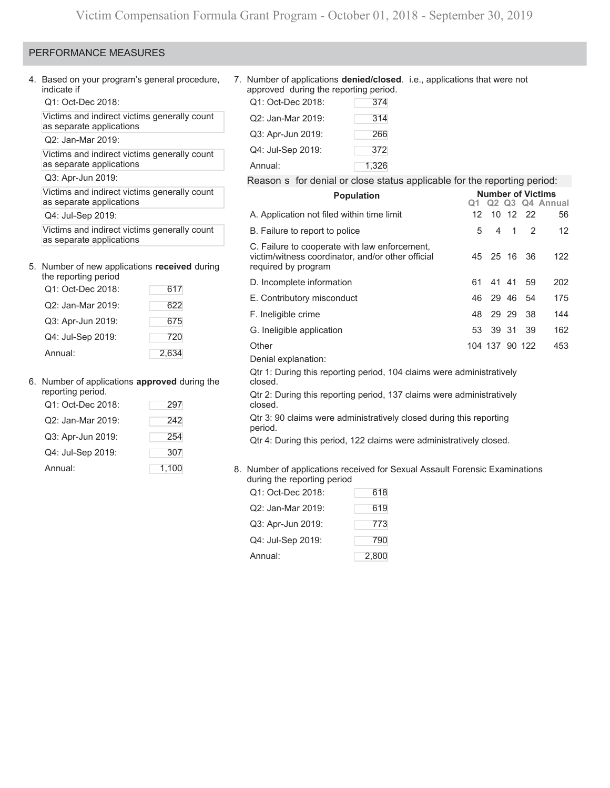#### PERFORMANCE MEASURES

4. Based on your program's general procedure, indicate if

Q1: Oct-Dec 2018:

Victims and indirect victims generally count as separate applications

Q2: Jan-Mar 2019:

Victims and indirect victims generally count as separate applications

Q3: Apr-Jun 2019:

Victims and indirect victims generally count as separate applications

Q4: Jul-Sep 2019:

Victims and indirect victims generally count as separate applications

# 5. Number of new applications **received** during

| the reporting period |       |  |  |  |  |  |  |  |  |
|----------------------|-------|--|--|--|--|--|--|--|--|
| Q1: Oct-Dec 2018:    | 617   |  |  |  |  |  |  |  |  |
| Q2: Jan-Mar 2019:    | 622   |  |  |  |  |  |  |  |  |
| Q3: Apr-Jun 2019:    | 675   |  |  |  |  |  |  |  |  |
| Q4: Jul-Sep 2019:    | 720   |  |  |  |  |  |  |  |  |
| Annual:              | 2.634 |  |  |  |  |  |  |  |  |

# 6. Number of applications **approved** during the

| reporting period. |       |
|-------------------|-------|
| Q1: Oct-Dec 2018: | 297   |
| Q2: Jan-Mar 2019: | 242   |
| Q3: Apr-Jun 2019: | 254   |
| Q4: Jul-Sep 2019: | 307   |
| Annual:           | 1,100 |

#### ( 7. Number of applications **denied/closed**. i.e., applications that were not ) approved during the reporting period.

| Q1: Oct-Dec 2018: | 374   |
|-------------------|-------|
| Q2: Jan-Mar 2019: | 314   |
| Q3: Apr-Jun 2019: | 266   |
| Q4: Jul-Sep 2019: | 372   |
| Annual:           | 1,326 |

#### Reason  $\,$  for denial or close status applicable for the reporting period:

| <b>Population</b>                                                                                                         | <b>Number of Victims</b> |                |                |          |                 |  |  |  |  |  |
|---------------------------------------------------------------------------------------------------------------------------|--------------------------|----------------|----------------|----------|-----------------|--|--|--|--|--|
|                                                                                                                           |                          |                |                |          | Q2 Q3 Q4 Annual |  |  |  |  |  |
| A. Application not filed within time limit                                                                                | 12 <sup>1</sup>          |                |                | 10 12 22 | 56              |  |  |  |  |  |
| B. Failure to report to police                                                                                            | 5                        | 4              | $\overline{1}$ | 2        | 12              |  |  |  |  |  |
| C. Failure to cooperate with law enforcement,<br>victim/witness coordinator, and/or other official<br>required by program | 45                       |                | 25 16          | 36       | 122             |  |  |  |  |  |
| D. Incomplete information                                                                                                 | 61                       |                | 41 41          | 59       | 202             |  |  |  |  |  |
| E. Contributory misconduct                                                                                                | 46                       |                |                | 29 46 54 | 175             |  |  |  |  |  |
| F. Ineligible crime                                                                                                       | 48                       |                | 29 29          | 38       | 144             |  |  |  |  |  |
| G. Ineligible application                                                                                                 | 53                       |                | 39 31          | -39      | 162             |  |  |  |  |  |
| Other                                                                                                                     |                          | 104 137 90 122 |                |          | 453             |  |  |  |  |  |
| Denial explanation:                                                                                                       |                          |                |                |          |                 |  |  |  |  |  |
| Qtr 1: During this reporting period, 104 claims were administratively<br>closed.                                          |                          |                |                |          |                 |  |  |  |  |  |
| Qtr 2: During this reporting period, 137 claims were administratively<br>closed.                                          |                          |                |                |          |                 |  |  |  |  |  |
| Qtr 3: 90 claims were administratively closed during this reporting<br>period.                                            |                          |                |                |          |                 |  |  |  |  |  |

Qtr 4: During this period, 122 claims were administratively closed.

| 8. Number of applications received for Sexual Assault Forensic Examinations |
|-----------------------------------------------------------------------------|
| during the reporting period                                                 |

| Q1: Oct-Dec 2018: | 618   |
|-------------------|-------|
| Q2: Jan-Mar 2019: | 619   |
| Q3: Apr-Jun 2019: | 773   |
| Q4: Jul-Sep 2019: | 790   |
| Annual:           | 2,800 |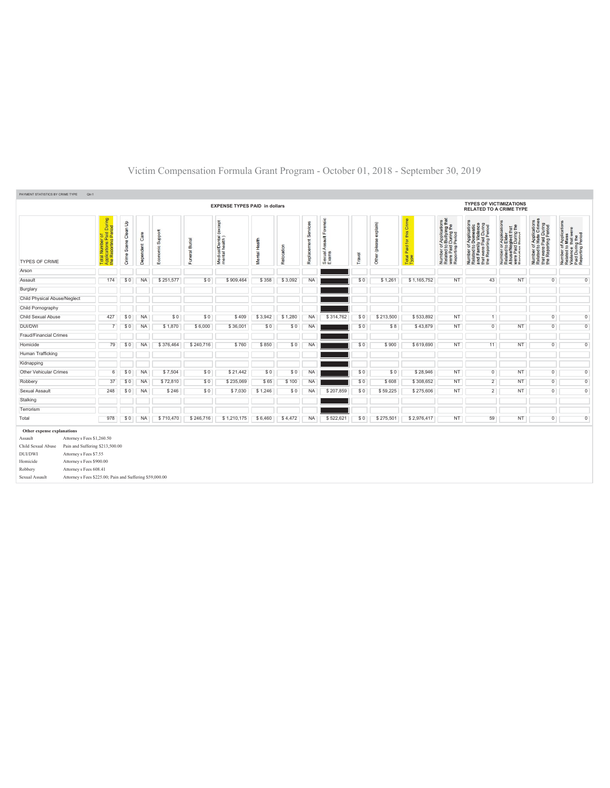| PAYMENT STATISTICS BY CRIME TYPE                    | Qtri.1                                                                     |                         |                   |                     |                |                                          |               |                |                         |                                       |        |                        |                                 |                                                                                                |                                                                                                                       |                                                                                                              |                                                                                                   |                                                                                                        |
|-----------------------------------------------------|----------------------------------------------------------------------------|-------------------------|-------------------|---------------------|----------------|------------------------------------------|---------------|----------------|-------------------------|---------------------------------------|--------|------------------------|---------------------------------|------------------------------------------------------------------------------------------------|-----------------------------------------------------------------------------------------------------------------------|--------------------------------------------------------------------------------------------------------------|---------------------------------------------------------------------------------------------------|--------------------------------------------------------------------------------------------------------|
|                                                     |                                                                            |                         |                   |                     |                | <b>EXPENSE TYPES PAID in dollars</b>     |               |                |                         |                                       |        |                        |                                 |                                                                                                | <b>TYPES OF VICTIMIZATIONS</b><br><b>RELATED TO A CRIME TYPE</b>                                                      |                                                                                                              |                                                                                                   |                                                                                                        |
| <b>TYPES OF CRIME</b>                               | <b>Applications Paid During</b><br>the Reporting Period<br>৳<br>ž<br>Total | Clean Up<br>Crime Scene | Care<br>Dependent | Support<br>Economic | Funeral Burial | Medical/Dental (except<br>mental health) | Mental Health | Relocation     | Services<br>Replacement | Forensic<br>Sexual Assault I<br>Exams | Travel | Other (please explain) | this Crime<br>Paid for<br>Total | Number of Applications<br>Related to Bullying that<br>were Paid During the<br>Reporting Period | Number of Applications<br>Related to Domestic<br>and Family Violence<br>that were Paid During<br>the Reporting Period | Number of Applications<br>Related to Elder<br>Abuse/Neglect that<br>were Paid During the<br>Beno-fina Beatod | Number of Applications<br>Related to Hate Crimes<br>that were Paid During<br>the Reporting Period | Number of Applications<br>Related to Mass<br>Violence that were<br>Paid During the<br>Reporting Period |
| Arson                                               |                                                                            |                         |                   |                     |                |                                          |               |                |                         |                                       |        |                        |                                 |                                                                                                |                                                                                                                       |                                                                                                              |                                                                                                   |                                                                                                        |
| Assault                                             | 174                                                                        | \$0                     | <b>NA</b>         | \$251,577           | \$0            | \$909,464                                | \$358         | \$3,092        | <b>NA</b>               |                                       | \$0    | \$1,261                | \$1,165,752                     | <b>NT</b>                                                                                      | 43                                                                                                                    | <b>NT</b>                                                                                                    | $\overline{0}$                                                                                    | $\overline{0}$                                                                                         |
| Burglary                                            |                                                                            |                         |                   |                     |                |                                          |               |                |                         |                                       |        |                        |                                 |                                                                                                |                                                                                                                       |                                                                                                              |                                                                                                   |                                                                                                        |
| Child Physical Abuse/Neglect                        |                                                                            |                         |                   |                     |                |                                          |               |                |                         |                                       |        |                        |                                 |                                                                                                |                                                                                                                       |                                                                                                              |                                                                                                   |                                                                                                        |
| Child Pornography                                   |                                                                            |                         |                   |                     |                |                                          |               |                |                         |                                       |        |                        |                                 |                                                                                                |                                                                                                                       |                                                                                                              |                                                                                                   |                                                                                                        |
| Child Sexual Abuse                                  | 427                                                                        | \$0                     | <b>NA</b>         | \$0                 | \$0            | \$409                                    | \$3,942       | \$1,280        | <b>NA</b>               | \$314,762                             | \$0    | \$213,500              | \$533.892                       | <b>NT</b>                                                                                      | $\mathbf{1}$                                                                                                          |                                                                                                              | $\overline{0}$                                                                                    | $\overline{0}$                                                                                         |
| DUI/DWI                                             | $\overline{7}$                                                             | \$0                     | <b>NA</b>         | \$1,870             | \$6,000        | \$36,001                                 | \$0           | \$0            | <b>NA</b>               |                                       | \$0    | \$8                    | \$43,879                        | <b>NT</b>                                                                                      | $\overline{0}$                                                                                                        | NT                                                                                                           | $\overline{0}$                                                                                    | $\overline{0}$                                                                                         |
| Fraud/Financial Crimes                              |                                                                            |                         |                   |                     |                |                                          |               |                |                         |                                       |        |                        |                                 |                                                                                                |                                                                                                                       |                                                                                                              |                                                                                                   |                                                                                                        |
| Homicide                                            | 79                                                                         | \$0                     | <b>NA</b>         | \$376,464           | \$240,716      | \$760                                    | \$850         | \$0            | <b>NA</b>               |                                       | \$0    | \$900                  | \$619,690                       | <b>NT</b>                                                                                      | 11                                                                                                                    | NT                                                                                                           | $\overline{0}$                                                                                    | $\overline{0}$                                                                                         |
| Human Trafficking                                   |                                                                            |                         |                   |                     |                |                                          |               |                |                         |                                       |        |                        |                                 |                                                                                                |                                                                                                                       |                                                                                                              |                                                                                                   |                                                                                                        |
| Kidnapping                                          |                                                                            |                         |                   |                     |                |                                          |               |                |                         |                                       |        |                        |                                 |                                                                                                |                                                                                                                       |                                                                                                              |                                                                                                   |                                                                                                        |
| Other Vehicular Crimes                              | 6                                                                          | \$0                     | <b>NA</b>         | \$7,504             | \$0            | \$21,442                                 | \$0           | \$0            | <b>NA</b>               |                                       | \$0    | \$0                    | \$28,946                        | NT                                                                                             | $\overline{0}$                                                                                                        | <b>NT</b>                                                                                                    | $\overline{0}$                                                                                    | $\overline{0}$                                                                                         |
| Robbery                                             | 37                                                                         | \$0                     | <b>NA</b>         | \$72,810            | \$0            | \$235,069                                | \$65          | \$100          | <b>NA</b>               |                                       | \$0    | \$608                  | \$308,652                       | <b>NT</b>                                                                                      | $\overline{2}$                                                                                                        | <b>NT</b>                                                                                                    | $\overline{0}$                                                                                    | $\overline{0}$                                                                                         |
| Sexual Assault                                      | 248                                                                        | \$0                     | <b>NA</b>         | \$246               | \$0            | \$7,030                                  | \$1,246       | S <sub>0</sub> | <b>NA</b>               | \$207,859                             | \$0    | \$59,225               | \$275,606                       | <b>NT</b>                                                                                      | $\overline{2}$                                                                                                        | <b>NT</b>                                                                                                    | $\overline{0}$                                                                                    | $\overline{0}$                                                                                         |
| Stalking                                            |                                                                            |                         |                   |                     |                |                                          |               |                |                         |                                       |        |                        |                                 |                                                                                                |                                                                                                                       |                                                                                                              |                                                                                                   |                                                                                                        |
| Terrorism                                           |                                                                            |                         |                   |                     |                |                                          |               |                |                         |                                       |        |                        |                                 |                                                                                                |                                                                                                                       |                                                                                                              |                                                                                                   |                                                                                                        |
| Total                                               | 978                                                                        | \$0                     | <b>NA</b>         | \$710,470           | \$246,716      | \$1,210,175                              | \$6,460       | \$4,472        | <b>NA</b>               | \$522,621                             | \$0    | \$275,501              | \$2,976,417                     | <b>NT</b>                                                                                      | 59                                                                                                                    | NT                                                                                                           | $\overline{0}$                                                                                    | $\overline{0}$                                                                                         |
| Other expense explanations                          |                                                                            |                         |                   |                     |                |                                          |               |                |                         |                                       |        |                        |                                 |                                                                                                |                                                                                                                       |                                                                                                              |                                                                                                   |                                                                                                        |
| Attorney s Fees \$1,260.50<br>Assault               |                                                                            |                         |                   |                     |                |                                          |               |                |                         |                                       |        |                        |                                 |                                                                                                |                                                                                                                       |                                                                                                              |                                                                                                   |                                                                                                        |
| Child Sexual Abuse                                  | Pain and Suffering \$213,500.00                                            |                         |                   |                     |                |                                          |               |                |                         |                                       |        |                        |                                 |                                                                                                |                                                                                                                       |                                                                                                              |                                                                                                   |                                                                                                        |
| Attorney s Fees \$7.55<br><b>DUI/DWI</b>            |                                                                            |                         |                   |                     |                |                                          |               |                |                         |                                       |        |                        |                                 |                                                                                                |                                                                                                                       |                                                                                                              |                                                                                                   |                                                                                                        |
| Homicide<br>Attorney s Fees \$900.00                |                                                                            |                         |                   |                     |                |                                          |               |                |                         |                                       |        |                        |                                 |                                                                                                |                                                                                                                       |                                                                                                              |                                                                                                   |                                                                                                        |
| Robbery<br>Attorney s Fees 608.41<br>Sexual Assault | Attorney s Fees \$225.00; Pain and Suffering \$59,000.00                   |                         |                   |                     |                |                                          |               |                |                         |                                       |        |                        |                                 |                                                                                                |                                                                                                                       |                                                                                                              |                                                                                                   |                                                                                                        |
|                                                     |                                                                            |                         |                   |                     |                |                                          |               |                |                         |                                       |        |                        |                                 |                                                                                                |                                                                                                                       |                                                                                                              |                                                                                                   |                                                                                                        |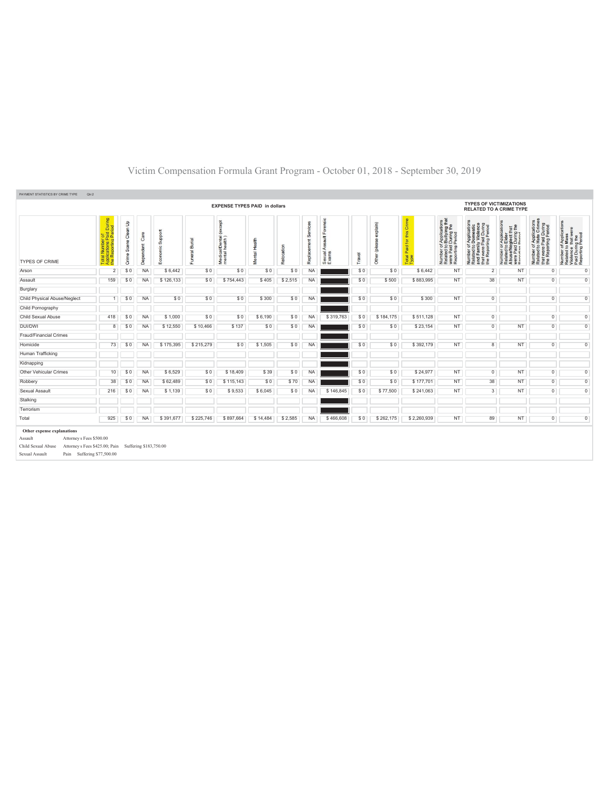| $\mathsf{S}% _{T}=\mathsf{S}_{T}\!\left( a,b\right) ,\mathsf{S}_{T}=\mathsf{S}_{T}\!\left( a,b\right) ,\mathsf{S}_{T}=\mathsf{S}_{T}\!\left( a,b\right) ,$<br><u>ត</u><br>de.<br>Scene<br>Crime<br>\$0<br>\$0 | Ğ<br>endent<br>Dep<br><b>NA</b>   | Support<br>nomic<br>E®                        | Funeral Burial | (except<br>Medical/Dental (<br>mental health) | Health   |                | Services     | $\overline{9}$   |        | explain)       | Crime                     |                                                                                                                                        |                                                                                                                       |                                                                                                                               |                                                                                                                                        |                                                                                                        |
|---------------------------------------------------------------------------------------------------------------------------------------------------------------------------------------------------------------|-----------------------------------|-----------------------------------------------|----------------|-----------------------------------------------|----------|----------------|--------------|------------------|--------|----------------|---------------------------|----------------------------------------------------------------------------------------------------------------------------------------|-----------------------------------------------------------------------------------------------------------------------|-------------------------------------------------------------------------------------------------------------------------------|----------------------------------------------------------------------------------------------------------------------------------------|--------------------------------------------------------------------------------------------------------|
|                                                                                                                                                                                                               |                                   |                                               |                |                                               | Mental   | Relocation     | ×<br>Replace | Sexual.<br>Exams | Travel | Other (plea    | this<br>Paid for<br>Total | f Applications<br>b Bullying that<br>I During the<br>Period<br>Number of <i>I</i><br>Related to <b>E</b><br>were Paid I<br>Reporting F | Number of Applications<br>Related to Domestic<br>and Family Violence<br>that were Paid During<br>the Reporting Period | T Application<br>Le lider<br>Suring the<br>During the<br>Number of /<br>Related to E<br>Abuse/Neg<br>were Paid L<br>Penorting | f Applications<br>• Hate Crimes<br>Paid During<br>ting Period<br>Number of App<br>Related to Hate<br>that were Paid<br>the Reporting F | Number of Applications<br>Related to Mass<br>Violence that were<br>Paid During the<br>Reporting Period |
|                                                                                                                                                                                                               |                                   | \$6,442                                       | \$0            | \$0                                           | \$0      | \$0            | <b>NA</b>    |                  | \$0    | \$0            | \$6,442                   | <b>NT</b>                                                                                                                              | $\overline{2}$                                                                                                        | NT                                                                                                                            | $\overline{0}$                                                                                                                         | $\overline{0}$                                                                                         |
|                                                                                                                                                                                                               | <b>NA</b>                         | \$126,133                                     | \$0            | \$754,443                                     | \$405    | \$2,515        | <b>NA</b>    |                  | \$0    | \$500          | \$883.995                 | <b>NT</b>                                                                                                                              | 38                                                                                                                    | <b>NT</b>                                                                                                                     | $\overline{0}$                                                                                                                         | $\overline{0}$                                                                                         |
|                                                                                                                                                                                                               |                                   |                                               |                |                                               |          |                |              |                  |        |                |                           |                                                                                                                                        |                                                                                                                       |                                                                                                                               |                                                                                                                                        |                                                                                                        |
| \$0                                                                                                                                                                                                           | <b>NA</b>                         | \$0                                           | \$0            | \$0                                           | \$300    | \$0            | <b>NA</b>    |                  | \$0    | \$0            | \$300                     | <b>NT</b>                                                                                                                              | $\overline{0}$                                                                                                        |                                                                                                                               | $\overline{0}$                                                                                                                         | $\overline{0}$                                                                                         |
|                                                                                                                                                                                                               |                                   |                                               |                |                                               |          |                |              |                  |        |                |                           |                                                                                                                                        |                                                                                                                       |                                                                                                                               |                                                                                                                                        |                                                                                                        |
|                                                                                                                                                                                                               | <b>NA</b>                         | \$1,000                                       | \$0            | \$0                                           | \$6,190  | \$0            | <b>NA</b>    | \$319,763        | \$0    | \$184,175      | \$511.128                 | <b>NT</b>                                                                                                                              | $\overline{0}$                                                                                                        |                                                                                                                               | $\overline{0}$                                                                                                                         | $\overline{0}$                                                                                         |
|                                                                                                                                                                                                               | <b>NA</b>                         | \$12,550                                      | \$10,466       | \$137                                         | \$0      | \$0            | <b>NA</b>    |                  | \$0    | \$0            | \$23,154                  | <b>NT</b>                                                                                                                              | $\overline{0}$                                                                                                        | NT                                                                                                                            | $\overline{0}$                                                                                                                         | $\overline{0}$                                                                                         |
|                                                                                                                                                                                                               |                                   |                                               |                |                                               |          |                |              |                  |        |                |                           |                                                                                                                                        |                                                                                                                       |                                                                                                                               |                                                                                                                                        |                                                                                                        |
|                                                                                                                                                                                                               | <b>NA</b>                         | \$175,395                                     | \$215,279      | \$0                                           | \$1,505  | \$0            | <b>NA</b>    |                  | \$0    | S <sub>0</sub> | \$392,179                 | NT                                                                                                                                     | 8                                                                                                                     | <b>NT</b>                                                                                                                     | $\overline{0}$                                                                                                                         | $\overline{0}$                                                                                         |
|                                                                                                                                                                                                               |                                   |                                               |                |                                               |          |                |              |                  |        |                |                           |                                                                                                                                        |                                                                                                                       |                                                                                                                               |                                                                                                                                        |                                                                                                        |
|                                                                                                                                                                                                               |                                   |                                               |                |                                               |          |                |              |                  |        |                |                           |                                                                                                                                        |                                                                                                                       |                                                                                                                               |                                                                                                                                        |                                                                                                        |
|                                                                                                                                                                                                               | <b>NA</b>                         | \$6,529                                       | \$0            | \$18,409                                      | \$39     | \$0            | <b>NA</b>    |                  | \$0    | \$0            | \$24,977                  | <b>NT</b>                                                                                                                              | $\overline{0}$                                                                                                        | NT                                                                                                                            | $\overline{0}$                                                                                                                         | $\overline{0}$                                                                                         |
|                                                                                                                                                                                                               | <b>NA</b>                         | \$62,489                                      | \$0            | \$115,143                                     | \$0      | \$70           | <b>NA</b>    |                  | \$0    | \$0            | \$177,701                 | <b>NT</b>                                                                                                                              | 38                                                                                                                    | <b>NT</b>                                                                                                                     | $\overline{0}$                                                                                                                         | $\overline{0}$                                                                                         |
|                                                                                                                                                                                                               | <b>NA</b>                         | \$1,139                                       | \$0            | \$9,533                                       | \$6,045  | S <sub>0</sub> | <b>NA</b>    | \$146,845        | \$0    | \$77,500       | \$241,063                 | <b>NT</b>                                                                                                                              | 3                                                                                                                     | NT.                                                                                                                           | $\overline{0}$                                                                                                                         | $\overline{0}$                                                                                         |
|                                                                                                                                                                                                               |                                   |                                               |                |                                               |          |                |              |                  |        |                |                           |                                                                                                                                        |                                                                                                                       |                                                                                                                               |                                                                                                                                        |                                                                                                        |
|                                                                                                                                                                                                               |                                   |                                               |                |                                               |          |                |              |                  |        |                |                           |                                                                                                                                        |                                                                                                                       |                                                                                                                               |                                                                                                                                        |                                                                                                        |
|                                                                                                                                                                                                               | <b>NA</b>                         | \$391,677                                     | \$225,746      | \$897,664                                     | \$14,484 | \$2,585        | <b>NA</b>    | \$466,608        | \$0    | \$262,175      | \$2,260,939               | <b>NT</b>                                                                                                                              | 89                                                                                                                    | NT.                                                                                                                           | $\overline{0}$                                                                                                                         | $\overline{0}$                                                                                         |
| 418                                                                                                                                                                                                           | 8<br>73<br>10<br>38<br>216<br>925 | \$0<br>\$0<br>\$0<br>\$0<br>\$0<br>\$0<br>\$0 |                |                                               |          |                |              |                  |        |                |                           |                                                                                                                                        |                                                                                                                       |                                                                                                                               |                                                                                                                                        |                                                                                                        |

Sexual Assault Pain Suffering \$77,500.00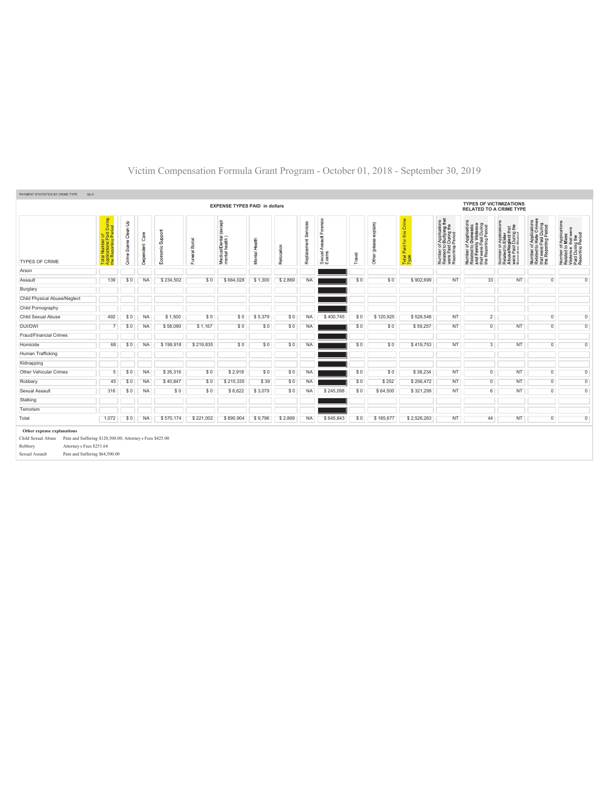| PAYMENT STATISTICS BY CRIME TYPE<br>Qtr:3                                                                                                                           |                                                                                                              |                            |                   |                     |                |                                               |               |            |                      |                                       |        |                        |                                              |                                                                                                                                         |                                                                                                                       |                                                                                                                         |                                                                                                                       |                                                                                                        |
|---------------------------------------------------------------------------------------------------------------------------------------------------------------------|--------------------------------------------------------------------------------------------------------------|----------------------------|-------------------|---------------------|----------------|-----------------------------------------------|---------------|------------|----------------------|---------------------------------------|--------|------------------------|----------------------------------------------|-----------------------------------------------------------------------------------------------------------------------------------------|-----------------------------------------------------------------------------------------------------------------------|-------------------------------------------------------------------------------------------------------------------------|-----------------------------------------------------------------------------------------------------------------------|--------------------------------------------------------------------------------------------------------|
|                                                                                                                                                                     |                                                                                                              |                            |                   |                     |                | <b>EXPENSE TYPES PAID in dollars</b>          |               |            |                      |                                       |        |                        |                                              |                                                                                                                                         | <b>TYPES OF VICTIMIZATIONS</b><br><b>RELATED TO A CRIME TYPE</b>                                                      |                                                                                                                         |                                                                                                                       |                                                                                                        |
| <b>TYPES OF CRIME</b>                                                                                                                                               | id During<br>Period<br><b>DEC</b><br>$\Delta$ $\sigma$<br><b>P</b><br>Repor<br>ž<br>Total<br>Applic<br>the R | Clean Up<br>Scene<br>Crime | Care<br>Dependent | Support<br>Economic | Funeral Burial | (except<br>Medical/Dental (<br>mental health) | Mental Health | Relocation | Replacement Services | Forensic<br>Sexual Assault F<br>Exams | Travel | explain)<br>ē<br>Other | Crime<br>this<br>Paid for t<br>Total<br>Type | of Applications<br>b Bullying that<br>I During the<br>Period<br>Number of <i>)</i><br>Related to <b>B</b><br>were Paid L<br>Reporting P | Number of Applications<br>Related to Domestic<br>and Family Violence<br>that were Paid During<br>the Reporting Period | Application<br>Elder<br>glect that<br>During the<br>Number or A<br>Related to E<br>AbuseMeg<br>Were Paid D<br>Ramminn B | Applications<br>Hate Crimes<br>that were Paid During<br>the Reporting Period<br>$\frac{1}{10}$<br>Number<br>Related t | Number of Applications<br>Related to Mass<br>Violence that were<br>Paid During the<br>Reporting Period |
| Arson                                                                                                                                                               |                                                                                                              |                            |                   |                     |                |                                               |               |            |                      |                                       |        |                        |                                              |                                                                                                                                         |                                                                                                                       |                                                                                                                         |                                                                                                                       |                                                                                                        |
| Assault                                                                                                                                                             | 139                                                                                                          | \$0                        | <b>NA</b>         | \$234,502           | \$0            | \$664,028                                     | \$1,300       | \$2,869    | <b>NA</b>            |                                       | \$0    | \$0                    | \$902.699                                    | <b>NT</b>                                                                                                                               | 33                                                                                                                    | NT                                                                                                                      | $\overline{0}$                                                                                                        | $\overline{0}$                                                                                         |
| Burglary                                                                                                                                                            |                                                                                                              |                            |                   |                     |                |                                               |               |            |                      |                                       |        |                        |                                              |                                                                                                                                         |                                                                                                                       |                                                                                                                         |                                                                                                                       |                                                                                                        |
| Child Physical Abuse/Neglect                                                                                                                                        |                                                                                                              |                            |                   |                     |                |                                               |               |            |                      |                                       |        |                        |                                              |                                                                                                                                         |                                                                                                                       |                                                                                                                         |                                                                                                                       |                                                                                                        |
| Child Pornography                                                                                                                                                   |                                                                                                              |                            |                   |                     |                |                                               |               |            |                      |                                       |        |                        |                                              |                                                                                                                                         |                                                                                                                       |                                                                                                                         |                                                                                                                       |                                                                                                        |
| Child Sexual Abuse                                                                                                                                                  | 492                                                                                                          | \$0                        | <b>NA</b>         | \$1,500             | \$0            | \$0                                           | \$5,379       | \$0        | <b>NA</b>            | \$400,745                             | \$0    | \$120,925              | \$528.548                                    | <b>NT</b>                                                                                                                               | $\overline{c}$                                                                                                        |                                                                                                                         | $\overline{0}$                                                                                                        | $\overline{0}$                                                                                         |
| DUI/DWI                                                                                                                                                             |                                                                                                              | \$0                        | <b>NA</b>         | \$58,090            | \$1,167        | \$0                                           | \$0           | \$0        | <b>NA</b>            |                                       | \$0    | \$0                    | \$59,257                                     | <b>NT</b>                                                                                                                               | $\overline{0}$                                                                                                        | <b>NT</b>                                                                                                               | $\overline{0}$                                                                                                        | $\overline{0}$                                                                                         |
| Fraud/Financial Crimes                                                                                                                                              |                                                                                                              |                            |                   |                     |                |                                               |               |            |                      |                                       |        |                        |                                              |                                                                                                                                         |                                                                                                                       |                                                                                                                         |                                                                                                                       |                                                                                                        |
| Homicide                                                                                                                                                            | 68                                                                                                           | \$0                        | <b>NA</b>         | \$199,918           | \$219,835      | \$0                                           | \$0           | \$0        | NA                   |                                       | \$0    | \$0                    | \$419,753                                    | <b>NT</b>                                                                                                                               | $\overline{3}$                                                                                                        | NT                                                                                                                      | $\overline{0}$                                                                                                        | $\overline{0}$                                                                                         |
| Human Trafficking                                                                                                                                                   |                                                                                                              |                            |                   |                     |                |                                               |               |            |                      |                                       |        |                        |                                              |                                                                                                                                         |                                                                                                                       |                                                                                                                         |                                                                                                                       |                                                                                                        |
| Kidnapping                                                                                                                                                          |                                                                                                              |                            |                   |                     |                |                                               |               |            |                      |                                       |        |                        |                                              |                                                                                                                                         |                                                                                                                       |                                                                                                                         |                                                                                                                       |                                                                                                        |
| Other Vehicular Crimes                                                                                                                                              | 5                                                                                                            | \$0                        | <b>NA</b>         | \$35,316            | \$0            | \$2,918                                       | \$0           | \$0        | <b>NA</b>            |                                       | \$0    | \$0                    | \$38,234                                     | NT                                                                                                                                      | $\overline{0}$                                                                                                        | NT                                                                                                                      | $\overline{0}$                                                                                                        | $\overline{0}$                                                                                         |
| Robbery                                                                                                                                                             | 45                                                                                                           | \$0                        | <b>NA</b>         | \$40,847            | \$0            | \$215,335                                     | \$39          | \$0        | NA                   |                                       | \$0    | \$252                  | \$256,472                                    | <b>NT</b>                                                                                                                               | $\overline{0}$                                                                                                        | NT                                                                                                                      | $\overline{0}$                                                                                                        | $\overline{0}$                                                                                         |
| Sexual Assault                                                                                                                                                      | 316                                                                                                          | \$0                        | <b>NA</b>         | \$0                 | \$0            | \$8,622                                       | \$3,079       | \$0        | NA                   | \$245,098                             | \$0    | \$64,500               | \$321,299                                    | <b>NT</b>                                                                                                                               | $6\overline{6}$                                                                                                       | NT                                                                                                                      | $\overline{0}$                                                                                                        | $\overline{0}$                                                                                         |
| Stalking                                                                                                                                                            |                                                                                                              |                            |                   |                     |                |                                               |               |            |                      |                                       |        |                        |                                              |                                                                                                                                         |                                                                                                                       |                                                                                                                         |                                                                                                                       |                                                                                                        |
| Terrorism                                                                                                                                                           |                                                                                                              |                            |                   |                     |                |                                               |               |            |                      |                                       |        |                        |                                              |                                                                                                                                         |                                                                                                                       |                                                                                                                         |                                                                                                                       |                                                                                                        |
| Total                                                                                                                                                               | 1,072                                                                                                        | \$0                        | <b>NA</b>         | \$570,174           | \$221,002      | \$890,904                                     | \$9,796       | \$2,869    | <b>NA</b>            | \$645,843                             | \$0    | \$185,677              | \$2,526,263                                  | NT                                                                                                                                      | 44                                                                                                                    | NT                                                                                                                      | $\overline{0}$                                                                                                        | $\overline{0}$                                                                                         |
| Other expense explanations<br>Child Sexual Abuse Pain and Suffering \$120,500.00; Attorney s Fees \$425.00<br>Attorney s Fees \$251.64<br>Robbery<br>Sexual Assault | Pain and Suffering \$64,500.00                                                                               |                            |                   |                     |                |                                               |               |            |                      |                                       |        |                        |                                              |                                                                                                                                         |                                                                                                                       |                                                                                                                         |                                                                                                                       |                                                                                                        |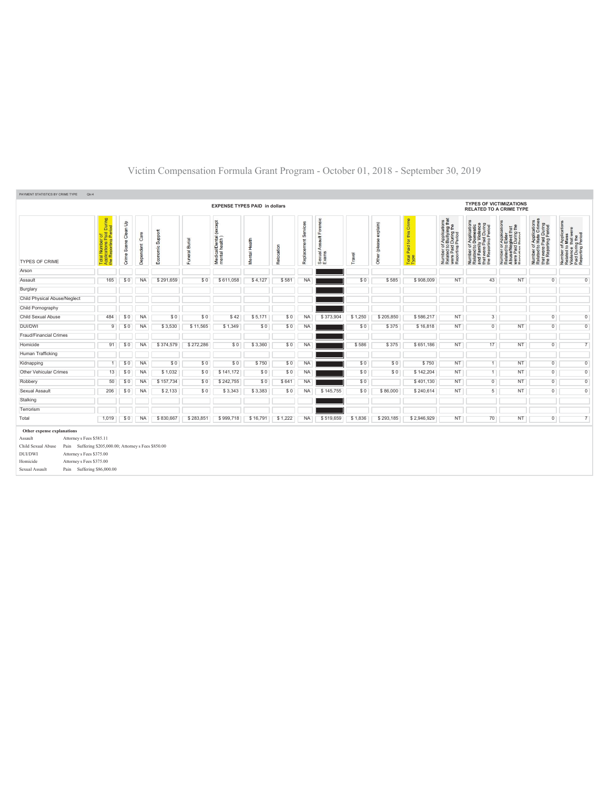| PAYMENT STATISTICS BY CRIME TYPE<br>Qtr:4                                            |                                                                                                          |                      |                   |                  |                |                                               |               |            |                      |                                       |         |                                          |                                       |                                                                                                |                                                                                                                       |                                                                                                                                |                                                                                                   |                                                                                                        |
|--------------------------------------------------------------------------------------|----------------------------------------------------------------------------------------------------------|----------------------|-------------------|------------------|----------------|-----------------------------------------------|---------------|------------|----------------------|---------------------------------------|---------|------------------------------------------|---------------------------------------|------------------------------------------------------------------------------------------------|-----------------------------------------------------------------------------------------------------------------------|--------------------------------------------------------------------------------------------------------------------------------|---------------------------------------------------------------------------------------------------|--------------------------------------------------------------------------------------------------------|
|                                                                                      | <b>TYPES OF VICTIMIZATIONS</b><br><b>EXPENSE TYPES PAID in dollars</b><br><b>RELATED TO A CRIME TYPE</b> |                      |                   |                  |                |                                               |               |            |                      |                                       |         |                                          |                                       |                                                                                                |                                                                                                                       |                                                                                                                                |                                                                                                   |                                                                                                        |
| <b>TYPES OF CRIME</b>                                                                | of<br>Paid During<br>Period<br>ing<br><b>Numbe</b><br>Rej<br>Total<br>Applic<br>the Re                   | Crime Scene Clean Up | Care<br>Dependent | Economic Support | Funeral Burial | (except<br>Medical/Dental (<br>mental health) | Mental Health | Relocation | Replacement Services | Forensic<br>Sexual Assault F<br>Exams | Travel  | explain)<br>$\mathscr{B}$<br>Other (plea | this Crime<br>Total Paid for the Type | Number of Applications<br>Related to Bullying that<br>were Paid During the<br>Reporting Period | Number of Applications<br>Related to Domestic<br>and Family Violence<br>that were Paid During<br>the Reporting Period | ications<br>glect that<br>During the<br>Appli<br>Elder<br>Number of /<br>Related to E<br>Abuse/Neg<br>were Paid L<br>Penorting | Number of Applications<br>Related to Hate Crimes<br>that were Paid During<br>the Reporting Period | Number of Applications<br>Related to Mass<br>Violence that were<br>Paid During the<br>Reporting Period |
| Arson                                                                                |                                                                                                          |                      |                   |                  |                |                                               |               |            |                      |                                       |         |                                          |                                       |                                                                                                |                                                                                                                       |                                                                                                                                |                                                                                                   |                                                                                                        |
| Assault                                                                              | 165                                                                                                      | \$0                  | <b>NA</b>         | \$291,659        | \$0            | \$611,058                                     | \$4,127       | \$581      | <b>NA</b>            |                                       | \$0     | \$585                                    | \$908,009                             | <b>NT</b>                                                                                      | 43                                                                                                                    | NT                                                                                                                             | $\overline{0}$                                                                                    | $\overline{0}$                                                                                         |
| Burglary                                                                             |                                                                                                          |                      |                   |                  |                |                                               |               |            |                      |                                       |         |                                          |                                       |                                                                                                |                                                                                                                       |                                                                                                                                |                                                                                                   |                                                                                                        |
| Child Physical Abuse/Neglect                                                         |                                                                                                          |                      |                   |                  |                |                                               |               |            |                      |                                       |         |                                          |                                       |                                                                                                |                                                                                                                       |                                                                                                                                |                                                                                                   |                                                                                                        |
| Child Pornography                                                                    |                                                                                                          |                      |                   |                  |                |                                               |               |            |                      |                                       |         |                                          |                                       |                                                                                                |                                                                                                                       |                                                                                                                                |                                                                                                   |                                                                                                        |
| Child Sexual Abuse                                                                   | 484                                                                                                      | \$0                  | <b>NA</b>         | \$0              | \$0            | \$42                                          | \$5,171       | \$0        | <b>NA</b>            | \$373,904                             | \$1,250 | \$205,850                                | \$586,217                             | <b>NT</b>                                                                                      | $\overline{3}$                                                                                                        |                                                                                                                                | $\overline{0}$                                                                                    | $\overline{0}$                                                                                         |
| DUI/DWI                                                                              | 9                                                                                                        | \$0                  | <b>NA</b>         | \$3,530          | \$11.565       | \$1,349                                       | \$0           | \$0        | <b>NA</b>            |                                       | \$0     | \$375                                    | \$16,818                              | <b>NT</b>                                                                                      | $\overline{0}$                                                                                                        | NT.                                                                                                                            | $\overline{0}$                                                                                    | $\overline{0}$                                                                                         |
| Fraud/Financial Crimes                                                               |                                                                                                          |                      |                   |                  |                |                                               |               |            |                      |                                       |         |                                          |                                       |                                                                                                |                                                                                                                       |                                                                                                                                |                                                                                                   |                                                                                                        |
| Homicide                                                                             | 91                                                                                                       | \$0                  | <b>NA</b>         | \$374,579        | \$272,286      | \$0                                           | \$3,360       | \$0        | <b>NA</b>            |                                       | \$586   | \$375                                    | \$651,186                             | <b>NT</b>                                                                                      | 17                                                                                                                    | <b>NT</b>                                                                                                                      | $\Omega$                                                                                          | $\overline{7}$                                                                                         |
| Human Trafficking                                                                    |                                                                                                          |                      |                   |                  |                |                                               |               |            |                      |                                       |         |                                          |                                       |                                                                                                |                                                                                                                       |                                                                                                                                |                                                                                                   |                                                                                                        |
| Kidnapping                                                                           | $\mathbf{1}$                                                                                             | \$0                  | <b>NA</b>         | \$0              | \$0            | \$0                                           | \$750         | \$0        | <b>NA</b>            |                                       | \$0     | \$0                                      | \$750                                 | <b>NT</b>                                                                                      | $\overline{1}$                                                                                                        | NT                                                                                                                             | $\overline{0}$                                                                                    | $\overline{0}$                                                                                         |
| Other Vehicular Crimes                                                               | 13                                                                                                       | \$0                  | <b>NA</b>         | \$1,032          | \$0            | \$141,172                                     | \$0           | \$0        | <b>NA</b>            |                                       | \$0     | \$0                                      | \$142,204                             | <b>NT</b>                                                                                      | $\mathbf{1}$                                                                                                          | <b>NT</b>                                                                                                                      | $\overline{0}$                                                                                    | $\overline{0}$                                                                                         |
| Robbery                                                                              | 50                                                                                                       | \$0                  | <b>NA</b>         | \$157,734        | \$0            | \$242,755                                     | \$0           | \$641      | <b>NA</b>            |                                       | \$0     |                                          | \$401,130                             | <b>NT</b>                                                                                      | $\overline{0}$                                                                                                        | <b>NT</b>                                                                                                                      | $\overline{0}$                                                                                    | $\overline{0}$                                                                                         |
| Sexual Assault                                                                       | 206                                                                                                      | \$0                  | <b>NA</b>         | \$2,133          | \$0            | \$3,343                                       | \$3,383       | \$0        | <b>NA</b>            | \$145,755                             | \$0     | \$86,000                                 | \$240,614                             | <b>NT</b>                                                                                      | 5                                                                                                                     | NT                                                                                                                             | $\overline{0}$                                                                                    | $\overline{0}$                                                                                         |
| Stalking                                                                             |                                                                                                          |                      |                   |                  |                |                                               |               |            |                      |                                       |         |                                          |                                       |                                                                                                |                                                                                                                       |                                                                                                                                |                                                                                                   |                                                                                                        |
| Terrorism                                                                            |                                                                                                          |                      |                   |                  |                |                                               |               |            |                      |                                       |         |                                          |                                       |                                                                                                |                                                                                                                       |                                                                                                                                |                                                                                                   |                                                                                                        |
| Total                                                                                | 1.019                                                                                                    | \$0                  | <b>NA</b>         | \$830,667        | \$283.851      | \$999,718                                     | \$16,791      | \$1,222    | <b>NA</b>            | \$519,659                             | \$1,836 | \$293,185                                | \$2,946,929                           | <b>NT</b>                                                                                      | 70                                                                                                                    | NT                                                                                                                             | $\overline{0}$                                                                                    | $\overline{7}$                                                                                         |
| Other expense explanations                                                           |                                                                                                          |                      |                   |                  |                |                                               |               |            |                      |                                       |         |                                          |                                       |                                                                                                |                                                                                                                       |                                                                                                                                |                                                                                                   |                                                                                                        |
| Attorney s Fees \$585.11<br>Assault                                                  |                                                                                                          |                      |                   |                  |                |                                               |               |            |                      |                                       |         |                                          |                                       |                                                                                                |                                                                                                                       |                                                                                                                                |                                                                                                   |                                                                                                        |
| Child Sexual Abuse<br>Pain Suffering \$205,000.00; Attorney s Fees \$850.00          |                                                                                                          |                      |                   |                  |                |                                               |               |            |                      |                                       |         |                                          |                                       |                                                                                                |                                                                                                                       |                                                                                                                                |                                                                                                   |                                                                                                        |
| Attorney s Fees \$375.00<br><b>DUI/DWI</b>                                           |                                                                                                          |                      |                   |                  |                |                                               |               |            |                      |                                       |         |                                          |                                       |                                                                                                |                                                                                                                       |                                                                                                                                |                                                                                                   |                                                                                                        |
| Homicide<br>Attorney s Fees \$375.00<br>Pain Suffering \$86,000.00<br>Sexual Assault |                                                                                                          |                      |                   |                  |                |                                               |               |            |                      |                                       |         |                                          |                                       |                                                                                                |                                                                                                                       |                                                                                                                                |                                                                                                   |                                                                                                        |
|                                                                                      |                                                                                                          |                      |                   |                  |                |                                               |               |            |                      |                                       |         |                                          |                                       |                                                                                                |                                                                                                                       |                                                                                                                                |                                                                                                   |                                                                                                        |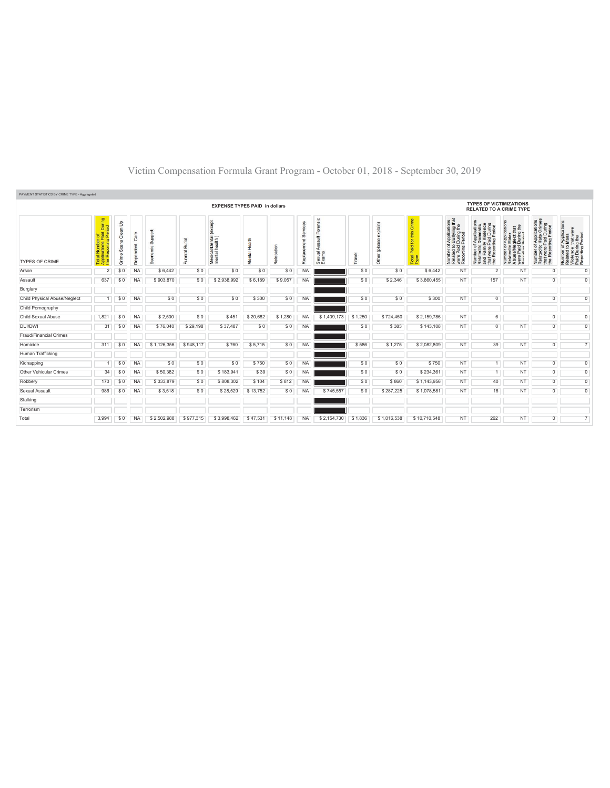| PAYMENT STATISTICS BY CRIME TYPE - Aggregated |                                                   |                            |                      |                                          |                   |                                                   |                  |            |                |                                                               |         |                   |                                                         |                                                                                                                           |                                                                                                                                                       |                                                                                                                                                 |                                                                                                                                                    |                                                                                                        |  |  |
|-----------------------------------------------|---------------------------------------------------|----------------------------|----------------------|------------------------------------------|-------------------|---------------------------------------------------|------------------|------------|----------------|---------------------------------------------------------------|---------|-------------------|---------------------------------------------------------|---------------------------------------------------------------------------------------------------------------------------|-------------------------------------------------------------------------------------------------------------------------------------------------------|-------------------------------------------------------------------------------------------------------------------------------------------------|----------------------------------------------------------------------------------------------------------------------------------------------------|--------------------------------------------------------------------------------------------------------|--|--|
| <b>EXPENSE TYPES PAID in dollars</b>          |                                                   |                            |                      |                                          |                   |                                                   |                  |            |                |                                                               |         |                   |                                                         | <b>TYPES OF VICTIMIZATIONS</b><br><b>RELATED TO A CRIME TYPE</b>                                                          |                                                                                                                                                       |                                                                                                                                                 |                                                                                                                                                    |                                                                                                        |  |  |
| <b>TYPES OF CRIME</b>                         | id During<br>Ieriod<br>ő.<br>cα<br>z<br><b>85</b> | Clean Up<br>Scene<br>Crime | Ö<br>ndent<br>8<br>B | Suppor<br>ں.<br>$\overline{\circ}$<br>Eø | Burial<br>Funeral | <b>bept</b><br>Medical/Dental (<br>mental health) | Health<br>Mental | Relocation | Šēr<br>Replace | nsic<br>ā<br>$\tilde{5}$<br>$\equiv$<br>⋖<br>Sexual.<br>Exams | Travel  | (mielay<br>흐<br>흉 | Crime<br>Ë<br>tor<br>Paid <sup>-</sup><br>Total<br>Type | f Applications<br>> Bullying that<br>  During the<br>  Period<br>599<br>Number of<br>Related to<br>were Paid<br>Reporting | mber of Applications<br>lated to Domestic<br>d Family Violence<br>at were Paid During<br>» Reporting Period<br>Number<br>Related t<br>and Farr<br>the | rcation<br><b>TE</b><br>r Applica<br>Elder<br>During<br>During<br>5990<br>Number<br>Related<br>Abuse/N<br>통 집<br>$\mathcal{P}$<br>$\frac{8}{6}$ | of Applications<br>o Hate Crimes<br>Paid During<br>rting Period<br>$\frac{6}{10}$<br>were<br>Repor<br>Number<br>Related t<br>that were<br>the Repo | Number of Applications<br>Related to Mass<br>Violence that were<br>Paid During the<br>Reporting Period |  |  |
| Arson                                         | $\overline{2}$                                    | \$0                        | <b>NA</b>            | \$6,442                                  | \$0               | \$0                                               | \$0              | \$0        | <b>NA</b>      |                                                               | \$0     | \$0               | \$6,442                                                 | NT                                                                                                                        | $\overline{2}$                                                                                                                                        | NT                                                                                                                                              | $^{\circ}$                                                                                                                                         | $\overline{0}$                                                                                         |  |  |
| Assault                                       | 637                                               | \$0                        | <b>NA</b>            | \$903,870                                | \$0               | \$2,938,992                                       | \$6,189          | \$9,057    | <b>NA</b>      |                                                               | \$0     | \$2,346           | \$3,860,455                                             | NT                                                                                                                        | 157                                                                                                                                                   | NT                                                                                                                                              | $\overline{0}$                                                                                                                                     | $\overline{0}$                                                                                         |  |  |
| Burglary                                      |                                                   |                            |                      |                                          |                   |                                                   |                  |            |                |                                                               |         |                   |                                                         |                                                                                                                           |                                                                                                                                                       |                                                                                                                                                 |                                                                                                                                                    |                                                                                                        |  |  |
| Child Physical Abuse/Neglect                  |                                                   | \$0                        | <b>NA</b>            | \$0                                      | \$0               | \$0                                               | \$300            | \$0        | <b>NA</b>      |                                                               | \$0     | \$0               | \$300                                                   | NT                                                                                                                        | $\overline{0}$                                                                                                                                        |                                                                                                                                                 | $\overline{0}$                                                                                                                                     | $\overline{0}$                                                                                         |  |  |
| Child Pornography                             |                                                   |                            |                      |                                          |                   |                                                   |                  |            |                |                                                               |         |                   |                                                         |                                                                                                                           |                                                                                                                                                       |                                                                                                                                                 |                                                                                                                                                    |                                                                                                        |  |  |
| Child Sexual Abuse                            | 1.821                                             | \$0                        | <b>NA</b>            | \$2,500                                  | \$0               | \$451                                             | \$20.682         | \$1.280    | <b>NA</b>      | \$1.409.173                                                   | \$1.250 | \$724,450         | \$2,159,786                                             | <b>NT</b>                                                                                                                 | 6                                                                                                                                                     |                                                                                                                                                 | $\overline{0}$                                                                                                                                     | $\overline{0}$                                                                                         |  |  |
| DUI/DWI                                       | 31                                                | \$0                        | <b>NA</b>            | \$76,040                                 | \$29,198          | \$37,487                                          | \$0              | \$0        | <b>NA</b>      |                                                               | \$0     | \$383             | \$143,108                                               | NT                                                                                                                        | $\overline{0}$                                                                                                                                        | <b>NT</b>                                                                                                                                       | $\overline{0}$                                                                                                                                     | $\overline{0}$                                                                                         |  |  |
| <b>Fraud/Financial Crimes</b>                 |                                                   |                            |                      |                                          |                   |                                                   |                  |            |                |                                                               |         |                   |                                                         |                                                                                                                           |                                                                                                                                                       |                                                                                                                                                 |                                                                                                                                                    |                                                                                                        |  |  |
| Homicide                                      | 311                                               | \$0                        | <b>NA</b>            | \$1,126,356                              | \$948,117         | \$760                                             | \$5,715          | \$0        | <b>NA</b>      |                                                               | \$586   | \$1,275           | \$2,082,809                                             | NT                                                                                                                        | 39                                                                                                                                                    | NT                                                                                                                                              | $^{\circ}$                                                                                                                                         | $\overline{7}$                                                                                         |  |  |
| Human Trafficking                             |                                                   |                            |                      |                                          |                   |                                                   |                  |            |                |                                                               |         |                   |                                                         |                                                                                                                           |                                                                                                                                                       |                                                                                                                                                 |                                                                                                                                                    |                                                                                                        |  |  |
| Kidnapping                                    |                                                   | \$0                        | <b>NA</b>            | \$0                                      | \$0               | \$0                                               | \$750            | \$0        | <b>NA</b>      |                                                               | \$0     | \$0               | \$750                                                   | NT                                                                                                                        |                                                                                                                                                       | NT                                                                                                                                              | $\mathbf{0}$                                                                                                                                       | $\overline{0}$                                                                                         |  |  |
| Other Vehicular Crimes                        | 34                                                | \$0                        | <b>NA</b>            | \$50,382                                 | \$0               | \$183,941                                         | \$39             | \$0        | <b>NA</b>      |                                                               | \$0     | \$0               | \$234,361                                               | <b>NT</b>                                                                                                                 | $\overline{1}$                                                                                                                                        | <b>NT</b>                                                                                                                                       | $\overline{0}$                                                                                                                                     | $\overline{0}$                                                                                         |  |  |
| Robbery                                       | 170                                               | \$0                        | <b>NA</b>            | \$333,879                                | \$0               | \$808,302                                         | \$104            | \$812      | <b>NA</b>      |                                                               | \$0     | \$860             | \$1,143,956                                             | <b>NT</b>                                                                                                                 | 40                                                                                                                                                    | <b>NT</b>                                                                                                                                       | $\overline{0}$                                                                                                                                     | $\overline{0}$                                                                                         |  |  |
| Sexual Assault                                | 986                                               | \$0                        | <b>NA</b>            | \$3,518                                  | \$0               | \$28,529                                          | \$13,752         | \$0        | <b>NA</b>      | \$745,557                                                     | \$0     | \$287,225         | \$1,078,581                                             | <b>NT</b>                                                                                                                 | 16                                                                                                                                                    | <b>NT</b>                                                                                                                                       | $\overline{0}$                                                                                                                                     | $\overline{0}$                                                                                         |  |  |
| Stalking                                      |                                                   |                            |                      |                                          |                   |                                                   |                  |            |                |                                                               |         |                   |                                                         |                                                                                                                           |                                                                                                                                                       |                                                                                                                                                 |                                                                                                                                                    |                                                                                                        |  |  |
| Terrorism                                     |                                                   |                            |                      |                                          |                   |                                                   |                  |            |                |                                                               |         |                   |                                                         |                                                                                                                           |                                                                                                                                                       |                                                                                                                                                 |                                                                                                                                                    |                                                                                                        |  |  |
| Total                                         | 3,994                                             | \$0                        | <b>NA</b>            | \$2,502,988                              | \$977,315         | \$3,998,462                                       | \$47.531         | \$11,148   | <b>NA</b>      | \$2,154,730                                                   | \$1,836 | \$1,016,538       | \$10,710,548                                            | <b>NT</b>                                                                                                                 | 262                                                                                                                                                   | <b>NT</b>                                                                                                                                       | $\overline{0}$                                                                                                                                     | $\overline{7}$                                                                                         |  |  |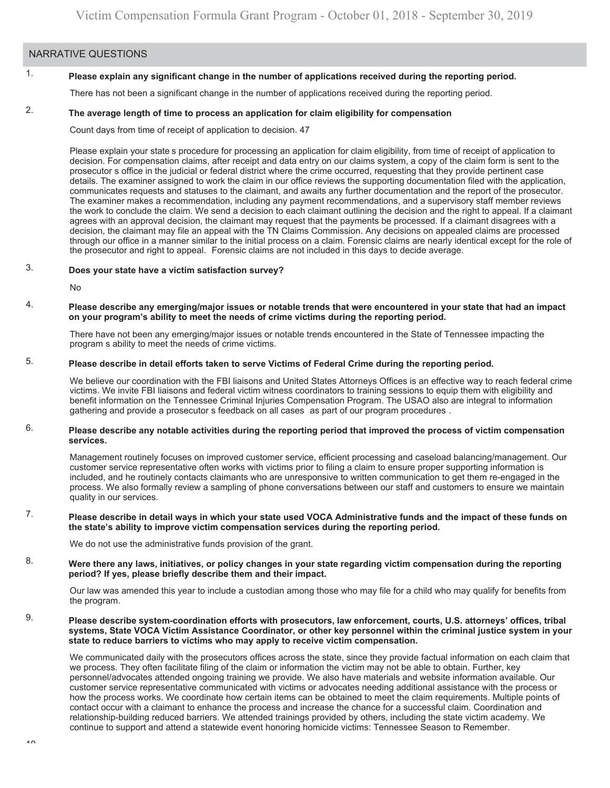#### NARRATIVE QUESTIONS

### 1. **Please explain any significant change in the number of applications received during the reporting period.**

There has not been a significant change in the number of applications received during the reporting period.

### 2. **The average length of time to process an application for claim eligibility for compensation**

Count days from time of receipt of application to decision. 47

' Please explain your state s procedure for processing an application for claim eligibility, from time of receipt of application to the prosecutor and right to appeal. Forensic claims are not included in this days to decide average. decision. For compensation claims, after receipt and data entry on our claims system, a copy of the claim form is sent to the prosecutor s office in the judicial or federal district where the crime occurred, requesting that they provide pertinent case details. The examiner assigned to work the claim in our office reviews the supporting documentation filed with the application, communicates requests and statuses to the claimant, and awaits any further documentation and the report of the prosecutor. The examiner makes a recommendation, including any payment recommendations, and a supervisory staff member reviews the work to conclude the claim. We send a decision to each claimant outlining the decision and the right to appeal. If a claimant agrees with an approval decision, the claimant may request that the payments be processed. If a claimant disagrees with a decision, the claimant may file an appeal with the TN Claims Commission. Any decisions on appealed claims are processed through our office in a manner similar to the initial process on a claim. Forensic claims are nearly identical except for the role of

### 3. **Does your state have a victim satisfaction survey?**

No

#### 4. **Please describe any emerging/major issues or notable trends that were encountered in your state that had an impact on your program's ability to meet the needs of crime victims during the reporting period.**

There have not been any emerging/major issues or notable trends encountered in the State of Tennessee impacting the program s ability to meet the needs of crime victims.

# 5. **Please describe in detail efforts taken to serve Victims of Federal Crime during the reporting period.**

gathering and provide a prosecutor s feedback on all cases as part of our program procedures . We believe our coordination with the FBI liaisons and United States Attorneys Offices is an effective way to reach federal crime victims. We invite FBI liaisons and federal victim witness coordinators to training sessions to equip them with eligibility and benefit information on the Tennessee Criminal Injuries Compensation Program. The USAO also are integral to information

#### 6. **Please describe any notable activities during the reporting period that improved the process of victim compensation services.**

Management routinely focuses on improved customer service, efficient processing and caseload balancing/management. Our customer service representative often works with victims prior to filing a claim to ensure proper supporting information is included, and he routinely contacts claimants who are unresponsive to written communication to get them re-engaged in the process. We also formally review a sampling of phone conversations between our staff and customers to ensure we maintain quality in our services.

#### 7. **Please describe in detail ways in which your state used VOCA Administrative funds and the impact of these funds on the state's ability to improve victim compensation services during the reporting period.**

We do not use the administrative funds provision of the grant.

#### 8. **Were there any laws, initiatives, or policy changes in your state regarding victim compensation during the reporting period? If yes, please briefly describe them and their impact.**

Our law was amended this year to include a custodian among those who may file for a child who may qualify for benefits from the program.

#### 9. **Please describe system-coordination efforts with prosecutors, law enforcement, courts, U.S. attorneys' offices, tribal systems, State VOCA Victim Assistance Coordinator, or other key personnel within the criminal justice system in your state to reduce barriers to victims who may apply to receive victim compensation.**

We communicated daily with the prosecutors offices across the state, since they provide factual information on each claim that we process. They often facilitate filing of the claim or information the victim may not be able to obtain. Further, key personnel/advocates attended ongoing training we provide. We also have materials and website information available. Our customer service representative communicated with victims or advocates needing additional assistance with the process or how the process works. We coordinate how certain items can be obtained to meet the claim requirements. Multiple points of contact occur with a claimant to enhance the process and increase the chance for a successful claim. Coordination and relationship-building reduced barriers. We attended trainings provided by others, including the state victim academy. We continue to support and attend a statewide event honoring homicide victims: Tennessee Season to Remember.